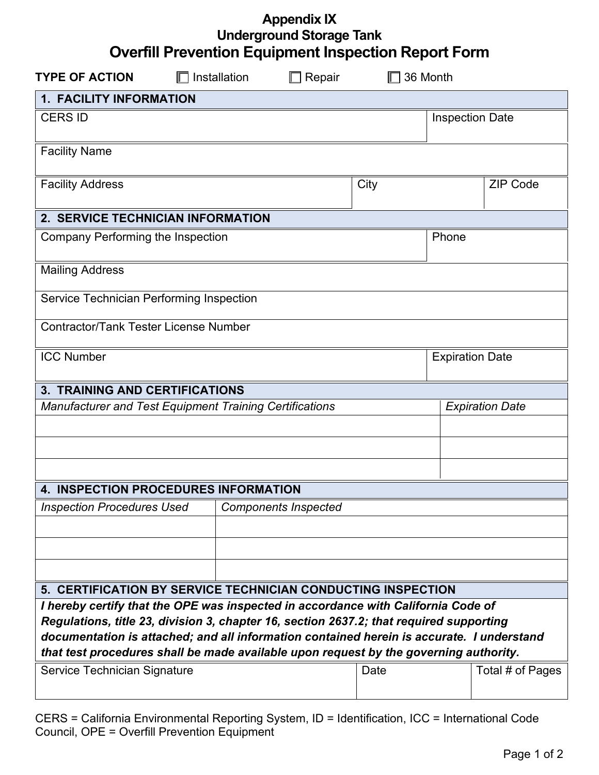| <b>Appendix IX</b>                                          |
|-------------------------------------------------------------|
| <b>Underground Storage Tank</b>                             |
| <b>Overfill Prevention Equipment Inspection Report Form</b> |

| <b>TYPE OF ACTION</b>                                                                                                                                                              | $\Box$ Installation |  | Repair                      | 36 Month               |                        |                  |  |
|------------------------------------------------------------------------------------------------------------------------------------------------------------------------------------|---------------------|--|-----------------------------|------------------------|------------------------|------------------|--|
| 1. FACILITY INFORMATION                                                                                                                                                            |                     |  |                             |                        |                        |                  |  |
| <b>CERS ID</b>                                                                                                                                                                     |                     |  |                             | <b>Inspection Date</b> |                        |                  |  |
| <b>Facility Name</b>                                                                                                                                                               |                     |  |                             |                        |                        |                  |  |
| <b>Facility Address</b>                                                                                                                                                            |                     |  |                             | City                   |                        | <b>ZIP Code</b>  |  |
| 2. SERVICE TECHNICIAN INFORMATION                                                                                                                                                  |                     |  |                             |                        |                        |                  |  |
| Company Performing the Inspection                                                                                                                                                  |                     |  |                             |                        | Phone                  |                  |  |
| <b>Mailing Address</b>                                                                                                                                                             |                     |  |                             |                        |                        |                  |  |
| Service Technician Performing Inspection                                                                                                                                           |                     |  |                             |                        |                        |                  |  |
| <b>Contractor/Tank Tester License Number</b>                                                                                                                                       |                     |  |                             |                        |                        |                  |  |
| <b>ICC Number</b>                                                                                                                                                                  |                     |  |                             |                        | <b>Expiration Date</b> |                  |  |
| <b>3. TRAINING AND CERTIFICATIONS</b>                                                                                                                                              |                     |  |                             |                        |                        |                  |  |
| <b>Manufacturer and Test Equipment Training Certifications</b>                                                                                                                     |                     |  |                             |                        | <b>Expiration Date</b> |                  |  |
|                                                                                                                                                                                    |                     |  |                             |                        |                        |                  |  |
|                                                                                                                                                                                    |                     |  |                             |                        |                        |                  |  |
|                                                                                                                                                                                    |                     |  |                             |                        |                        |                  |  |
| <b>4. INSPECTION PROCEDURES INFORMATION</b>                                                                                                                                        |                     |  |                             |                        |                        |                  |  |
| <b>Inspection Procedures Used</b>                                                                                                                                                  |                     |  | <b>Components Inspected</b> |                        |                        |                  |  |
|                                                                                                                                                                                    |                     |  |                             |                        |                        |                  |  |
|                                                                                                                                                                                    |                     |  |                             |                        |                        |                  |  |
|                                                                                                                                                                                    |                     |  |                             |                        |                        |                  |  |
| 5. CERTIFICATION BY SERVICE TECHNICIAN CONDUCTING INSPECTION                                                                                                                       |                     |  |                             |                        |                        |                  |  |
| I hereby certify that the OPE was inspected in accordance with California Code of                                                                                                  |                     |  |                             |                        |                        |                  |  |
| Regulations, title 23, division 3, chapter 16, section 2637.2; that required supporting                                                                                            |                     |  |                             |                        |                        |                  |  |
| documentation is attached; and all information contained herein is accurate. I understand<br>that test procedures shall be made available upon request by the governing authority. |                     |  |                             |                        |                        |                  |  |
| Service Technician Signature                                                                                                                                                       |                     |  |                             | Date                   |                        | Total # of Pages |  |
|                                                                                                                                                                                    |                     |  |                             |                        |                        |                  |  |

CERS = California Environmental Reporting System, ID = Identification, ICC = International Code Council, OPE = Overfill Prevention Equipment